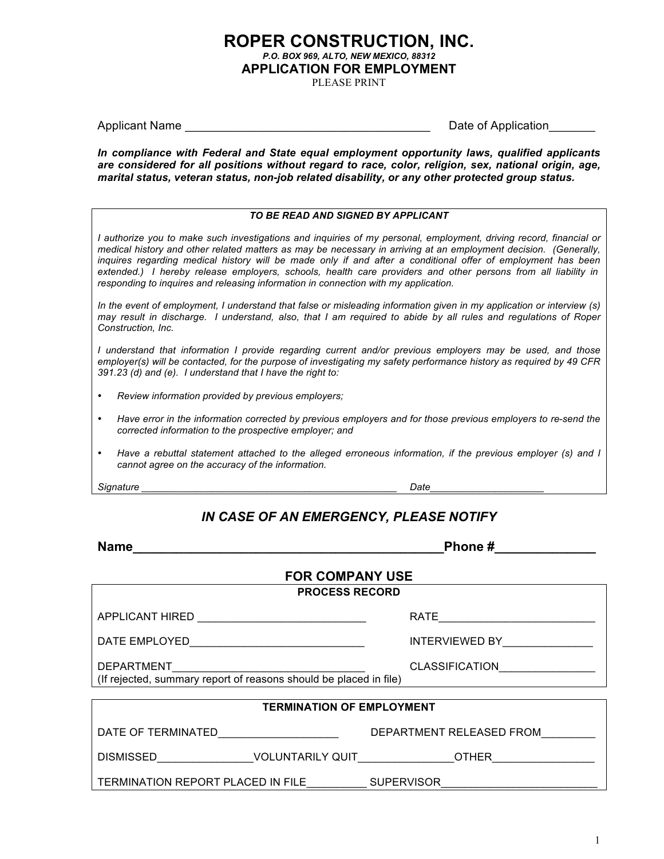# **ROPER CONSTRUCTION, INC.** *P.O. BOX 969, ALTO, NEW MEXICO, 88312* **APPLICATION FOR EMPLOYMENT**

PLEASE PRINT

Applicant Name **Applicant** Name

*In compliance with Federal and State equal employment opportunity laws, qualified applicants are considered for all positions without regard to race, color, religion, sex, national origin, age, marital status, veteran status, non-job related disability, or any other protected group status.*

#### *TO BE READ AND SIGNED BY APPLICANT*

I authorize you to make such investigations and inquiries of my personal, employment, driving record, financial or *medical history and other related matters as may be necessary in arriving at an employment decision. (Generally,*  inguires regarding medical history will be made only if and after a conditional offer of employment has been *extended.) I hereby release employers, schools, health care providers and other persons from all liability in responding to inquires and releasing information in connection with my application.*

*In the event of employment, I understand that false or misleading information given in my application or interview (s)*  may result in discharge. I understand, also, that I am required to abide by all rules and regulations of Roper *Construction, Inc.*

*I understand that information I provide regarding current and/or previous employers may be used, and those employer(s) will be contacted, for the purpose of investigating my safety performance history as required by 49 CFR 391.23 (d) and (e). I understand that I have the right to:* 

- *Review information provided by previous employers;*
- *Have error in the information corrected by previous employers and for those previous employers to re-send the corrected information to the prospective employer; and*
- *Have a rebuttal statement attached to the alleged erroneous information, if the previous employer (s) and I cannot agree on the accuracy of the information.*

*Signature \_\_\_\_\_\_\_\_\_\_\_\_\_\_\_\_\_\_\_\_\_\_\_\_\_\_\_\_\_\_\_\_\_\_\_\_\_\_\_\_\_\_\_\_\_\_\_ Date\_\_\_\_\_\_\_\_\_\_\_\_\_\_\_\_\_\_\_\_\_*

### *IN CASE OF AN EMERGENCY, PLEASE NOTIFY*

| Phone # ______________<br><b>Name</b>                                                                                               |                               |  |  |  |  |
|-------------------------------------------------------------------------------------------------------------------------------------|-------------------------------|--|--|--|--|
| <b>FOR COMPANY USE</b>                                                                                                              |                               |  |  |  |  |
|                                                                                                                                     | <b>PROCESS RECORD</b>         |  |  |  |  |
| APPLICANT HIRED ________________________________                                                                                    |                               |  |  |  |  |
|                                                                                                                                     | INTERVIEWED BY_______________ |  |  |  |  |
| <b>CLASSIFICATION</b><br>DEPARTMENT___________________________<br>(If rejected, summary report of reasons should be placed in file) |                               |  |  |  |  |
|                                                                                                                                     |                               |  |  |  |  |
| <b>TERMINATION OF EMPLOYMENT</b>                                                                                                    |                               |  |  |  |  |
| DATE OF TERMINATED______________________                                                                                            | DEPARTMENT RELEASED FROM      |  |  |  |  |
|                                                                                                                                     |                               |  |  |  |  |
| TERMINATION REPORT PLACED IN FILE SUPERVISOR                                                                                        |                               |  |  |  |  |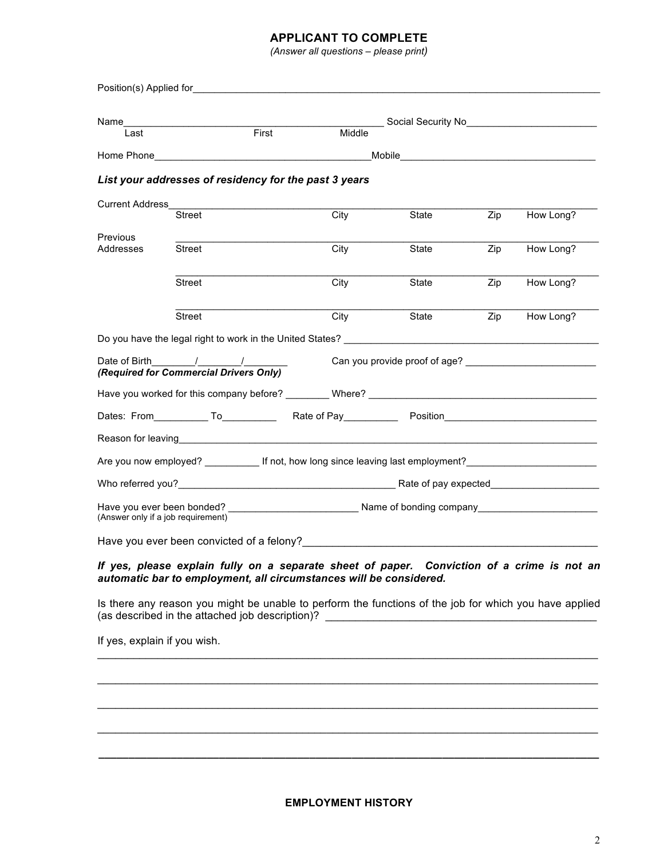### **APPLICANT TO COMPLETE**

*(Answer all questions – please print)* 

| Name                               |                                                                                                                                     |                                                                                                                                                                                                                               | __ Social Security No__________________________                              |     |           |
|------------------------------------|-------------------------------------------------------------------------------------------------------------------------------------|-------------------------------------------------------------------------------------------------------------------------------------------------------------------------------------------------------------------------------|------------------------------------------------------------------------------|-----|-----------|
| Last                               |                                                                                                                                     | First<br>Middle                                                                                                                                                                                                               |                                                                              |     |           |
|                                    |                                                                                                                                     | Home Phone <b>Manual</b>                                                                                                                                                                                                      | Mobile <b>Mobile Mobile Mobile Mobile Mobile Mobile Mobile Mobile Mobile</b> |     |           |
|                                    |                                                                                                                                     | List your addresses of residency for the past 3 years                                                                                                                                                                         |                                                                              |     |           |
| <b>Current Address</b>             |                                                                                                                                     |                                                                                                                                                                                                                               |                                                                              |     |           |
|                                    | <b>Street</b>                                                                                                                       | City                                                                                                                                                                                                                          | State                                                                        | Zip | How Long? |
| Previous<br>Addresses              | Street                                                                                                                              | City                                                                                                                                                                                                                          | State                                                                        | Zip | How Long? |
|                                    | <b>Street</b>                                                                                                                       | City                                                                                                                                                                                                                          | State                                                                        | Zip | How Long? |
|                                    | <b>Street</b>                                                                                                                       | City                                                                                                                                                                                                                          | State                                                                        | Zip | How Long? |
|                                    |                                                                                                                                     | Do you have the legal right to work in the United States? Learn and the control of the control of the control of the control of the control of the control of the control of the control of the control of the control of the |                                                                              |     |           |
|                                    | Date of Birth $\frac{1}{\sqrt{1-\frac{1}{2}}}\left(\frac{1}{\sqrt{1-\frac{1}{2}}}\right)$<br>(Required for Commercial Drivers Only) |                                                                                                                                                                                                                               | Can you provide proof of age?                                                |     |           |
|                                    |                                                                                                                                     | Have you worked for this company before? _________ Where? _______________________                                                                                                                                             |                                                                              |     |           |
|                                    |                                                                                                                                     |                                                                                                                                                                                                                               |                                                                              |     |           |
|                                    |                                                                                                                                     |                                                                                                                                                                                                                               |                                                                              |     |           |
|                                    |                                                                                                                                     | Are you now employed? _____________ If not, how long since leaving last employment? __________________________                                                                                                                |                                                                              |     |           |
|                                    |                                                                                                                                     |                                                                                                                                                                                                                               |                                                                              |     |           |
| (Answer only if a job requirement) |                                                                                                                                     |                                                                                                                                                                                                                               |                                                                              |     |           |
|                                    |                                                                                                                                     |                                                                                                                                                                                                                               |                                                                              |     |           |
|                                    |                                                                                                                                     | If yes, please explain fully on a separate sheet of paper. Conviction of a crime is not an<br>automatic bar to employment, all circumstances will be considered.                                                              |                                                                              |     |           |
|                                    | (as described in the attached job description)?                                                                                     | Is there any reason you might be unable to perform the functions of the job for which you have applied                                                                                                                        |                                                                              |     |           |
| If yes, explain if you wish.       |                                                                                                                                     |                                                                                                                                                                                                                               |                                                                              |     |           |
|                                    |                                                                                                                                     |                                                                                                                                                                                                                               |                                                                              |     |           |
|                                    |                                                                                                                                     |                                                                                                                                                                                                                               |                                                                              |     |           |
|                                    |                                                                                                                                     |                                                                                                                                                                                                                               |                                                                              |     |           |
|                                    |                                                                                                                                     |                                                                                                                                                                                                                               |                                                                              |     |           |

**\_\_\_\_\_\_\_\_\_\_\_\_\_\_\_\_\_\_\_\_\_\_\_\_\_\_\_\_\_\_\_\_\_\_\_\_\_\_\_\_\_\_\_\_\_\_\_\_\_\_\_\_\_\_\_\_\_\_\_\_\_\_\_\_\_\_\_\_\_\_\_\_\_\_\_\_\_\_\_\_\_\_\_**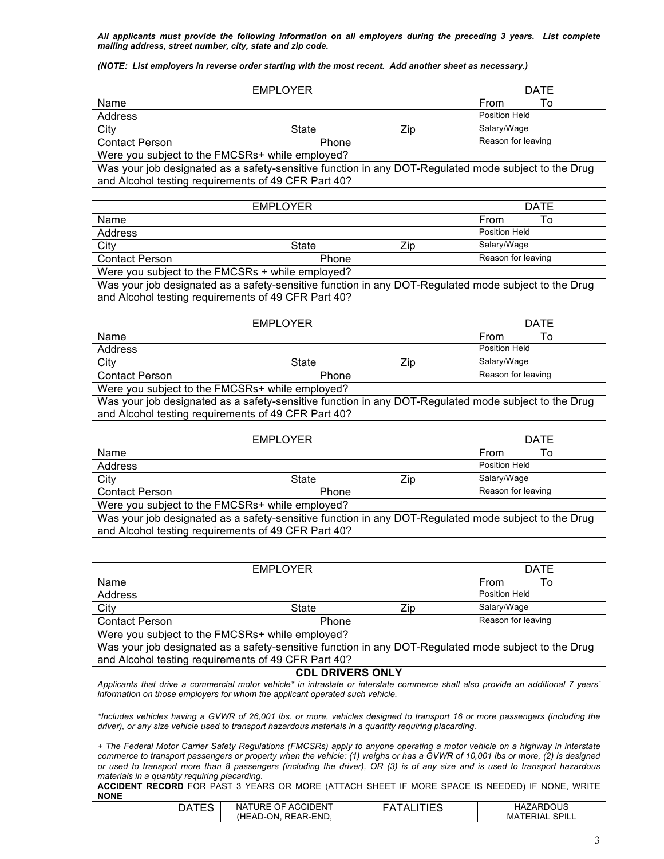*All applicants must provide the following information on all employers during the preceding 3 years. List complete mailing address, street number, city, state and zip code.*

#### *(NOTE: List employers in reverse order starting with the most recent. Add another sheet as necessary.)*

|                                                                                                      | <b>EMPLOYER</b> |     | <b>DATE</b>        |
|------------------------------------------------------------------------------------------------------|-----------------|-----|--------------------|
| Name                                                                                                 |                 |     | <b>From</b><br>To  |
| Address                                                                                              |                 |     | Position Held      |
| City                                                                                                 | State           | Zip | Salary/Wage        |
| <b>Contact Person</b>                                                                                | Phone           |     | Reason for leaving |
| Were you subject to the FMCSRs+ while employed?                                                      |                 |     |                    |
| Was your job designated as a safety-sensitive function in any DOT-Regulated mode subject to the Drug |                 |     |                    |
| and Alcohol testing requirements of 49 CFR Part 40?                                                  |                 |     |                    |

|                                                                                                      | <b>EMPLOYER</b> |     | <b>DATE</b>        |  |
|------------------------------------------------------------------------------------------------------|-----------------|-----|--------------------|--|
| Name                                                                                                 |                 |     | From<br>Т٥         |  |
| Address                                                                                              |                 |     | Position Held      |  |
| City                                                                                                 | State           | Zip | Salary/Wage        |  |
| <b>Contact Person</b>                                                                                | Phone           |     | Reason for leaving |  |
| Were you subject to the FMCSRs + while employed?                                                     |                 |     |                    |  |
| Was your job designated as a safety-sensitive function in any DOT-Regulated mode subject to the Drug |                 |     |                    |  |
| and Alcohol testing requirements of 49 CFR Part 40?                                                  |                 |     |                    |  |

| <b>EMPLOYER</b>                                                                                      |       |     | <b>DATE</b>        |
|------------------------------------------------------------------------------------------------------|-------|-----|--------------------|
| Name                                                                                                 |       |     | From<br>To         |
| Address                                                                                              |       |     | Position Held      |
| City                                                                                                 | State | Zip | Salary/Wage        |
| <b>Contact Person</b>                                                                                | Phone |     | Reason for leaving |
| Were you subject to the FMCSRs+ while employed?                                                      |       |     |                    |
| Was your job designated as a safety-sensitive function in any DOT-Regulated mode subject to the Drug |       |     |                    |
| and Alcohol testing requirements of 49 CFR Part 40?                                                  |       |     |                    |

|                                                                                                      | <b>EMPLOYER</b> |     | <b>DATE</b>        |
|------------------------------------------------------------------------------------------------------|-----------------|-----|--------------------|
| Name                                                                                                 |                 |     | From<br>Т٥         |
| Address                                                                                              |                 |     | Position Held      |
| City                                                                                                 | State           | Zip | Salary/Wage        |
| <b>Contact Person</b>                                                                                | Phone           |     | Reason for leaving |
| Were you subject to the FMCSRs+ while employed?                                                      |                 |     |                    |
| Was your job designated as a safety-sensitive function in any DOT-Regulated mode subject to the Drug |                 |     |                    |
| and Alcohol testing requirements of 49 CFR Part 40?                                                  |                 |     |                    |

| <b>EMPLOYER</b>                                                                                      |       |     | <b>DATE</b>        |  |
|------------------------------------------------------------------------------------------------------|-------|-----|--------------------|--|
| Name                                                                                                 |       |     | <b>From</b><br>To  |  |
| Address                                                                                              |       |     | Position Held      |  |
| City                                                                                                 | State | Zip | Salary/Wage        |  |
| <b>Contact Person</b>                                                                                | Phone |     | Reason for leaving |  |
| Were you subject to the FMCSRs+ while employed?                                                      |       |     |                    |  |
| Was your job designated as a safety-sensitive function in any DOT-Regulated mode subject to the Drug |       |     |                    |  |
| and Alcohol testing requirements of 49 CFR Part 40?                                                  |       |     |                    |  |
|                                                                                                      |       |     |                    |  |

### **CDL DRIVERS ONLY**

*Applicants that drive a commercial motor vehicle\* in intrastate or interstate commerce shall also provide an additional 7 years' information on those employers for whom the applicant operated such vehicle.*

*\*Includes vehicles having a GVWR of 26,001 lbs. or more, vehicles designed to transport 16 or more passengers (including the driver), or any size vehicle used to transport hazardous materials in a quantity requiring placarding.*

*+ The Federal Motor Carrier Safety Regulations (FMCSRs) apply to anyone operating a motor vehicle on a highway in interstate commerce to transport passengers or property when the vehicle: (1) weighs or has a GVWR of 10,001 lbs or more, (2) is designed or used to transport more than 8 passengers (including the driver), OR (3) is of any size and is used to transport hazardous materials in a quantity requiring placarding.*

**ACCIDENT RECORD** FOR PAST 3 YEARS OR MORE (ATTACH SHEET IF MORE SPACE IS NEEDED) IF NONE, WRITE **NONE**

| C A<br>◡ | OF ACCIDENT<br><b>NATURE</b> | $\Lambda$ | ZARDOUS<br>HAZ                  |
|----------|------------------------------|-----------|---------------------------------|
|          | (HEAD-ON, REAR-END.          |           | SPILL<br><b>TERIAL</b><br>MATEr |